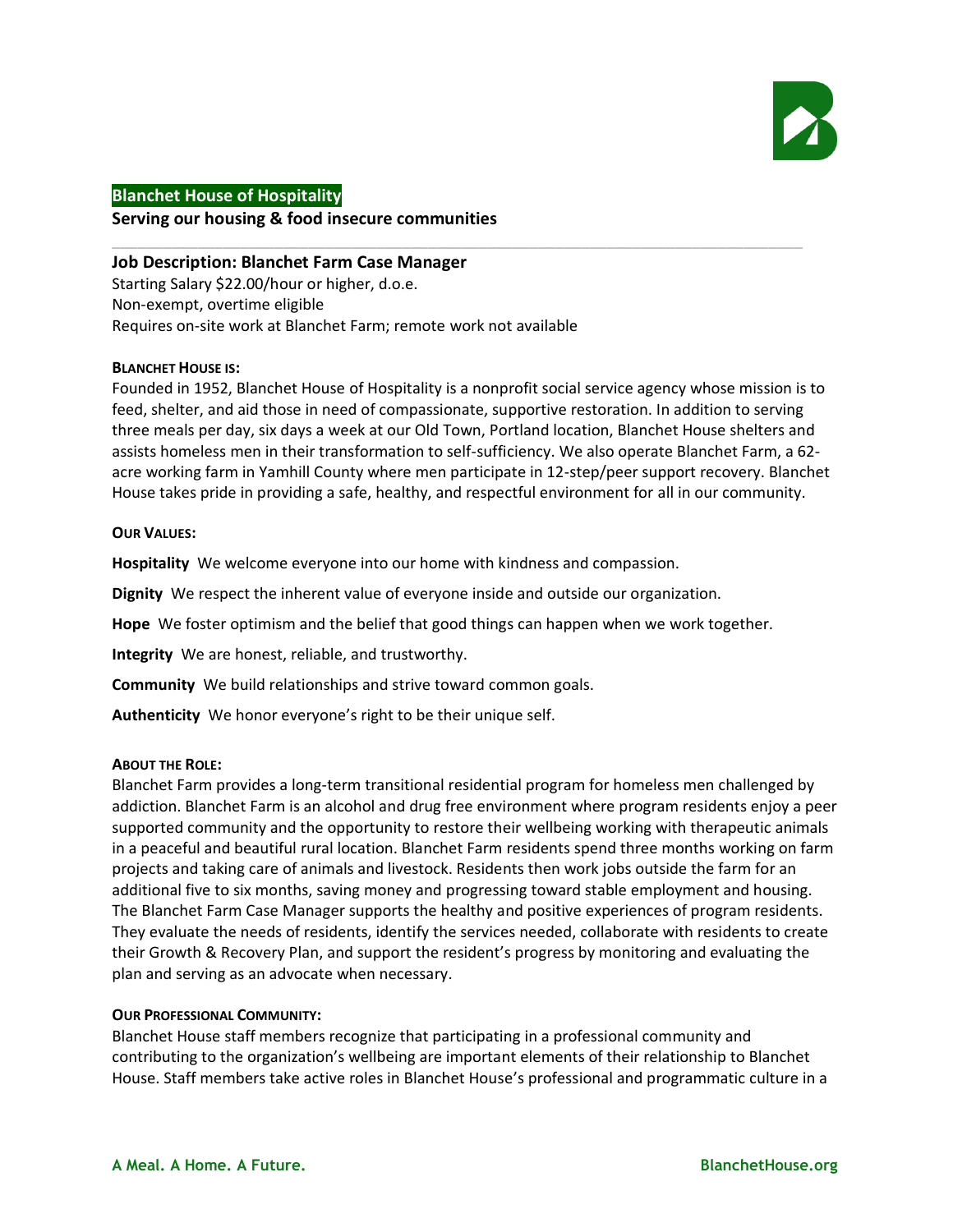

# **Blanchet House of Hospitality Serving our housing & food insecure communities**

## **Job Description: Blanchet Farm Case Manager** Starting Salary \$22.00/hour or higher, d.o.e. Non-exempt, overtime eligible Requires on-site work at Blanchet Farm; remote work not available

## **BLANCHET HOUSE IS:**

Founded in 1952, Blanchet House of Hospitality is a nonprofit social service agency whose mission is to feed, shelter, and aid those in need of compassionate, supportive restoration. In addition to serving three meals per day, six days a week at our Old Town, Portland location, Blanchet House shelters and assists homeless men in their transformation to self-sufficiency. We also operate Blanchet Farm, a 62 acre working farm in Yamhill County where men participate in 12-step/peer support recovery. Blanchet House takes pride in providing a safe, healthy, and respectful environment for all in our community.

\_\_\_\_\_\_\_\_\_\_\_\_\_\_\_\_\_\_\_\_\_\_\_\_\_\_\_\_\_\_\_\_\_\_\_\_\_\_\_\_\_\_\_\_\_\_\_\_\_\_\_\_\_\_\_\_\_\_\_\_\_\_\_\_\_\_\_\_\_\_\_\_\_\_\_\_\_\_\_\_\_

#### **OUR VALUES:**

**Hospitality** We welcome everyone into our home with kindness and compassion.

**Dignity** We respect the inherent value of everyone inside and outside our organization.

**Hope** We foster optimism and the belief that good things can happen when we work together.

**Integrity** We are honest, reliable, and trustworthy.

**Community** We build relationships and strive toward common goals.

**Authenticity** We honor everyone's right to be their unique self.

#### **ABOUT THE ROLE:**

Blanchet Farm provides a long-term transitional residential program for homeless men challenged by addiction. Blanchet Farm is an alcohol and drug free environment where program residents enjoy a peer supported community and the opportunity to restore their wellbeing working with therapeutic animals in a peaceful and beautiful rural location. Blanchet Farm residents spend three months working on farm projects and taking care of animals and livestock. Residents then work jobs outside the farm for an additional five to six months, saving money and progressing toward stable employment and housing. The Blanchet Farm Case Manager supports the healthy and positive experiences of program residents. They evaluate the needs of residents, identify the services needed, collaborate with residents to create their Growth & Recovery Plan, and support the resident's progress by monitoring and evaluating the plan and serving as an advocate when necessary.

#### **OUR PROFESSIONAL COMMUNITY:**

Blanchet House staff members recognize that participating in a professional community and contributing to the organization's wellbeing are important elements of their relationship to Blanchet House. Staff members take active roles in Blanchet House's professional and programmatic culture in a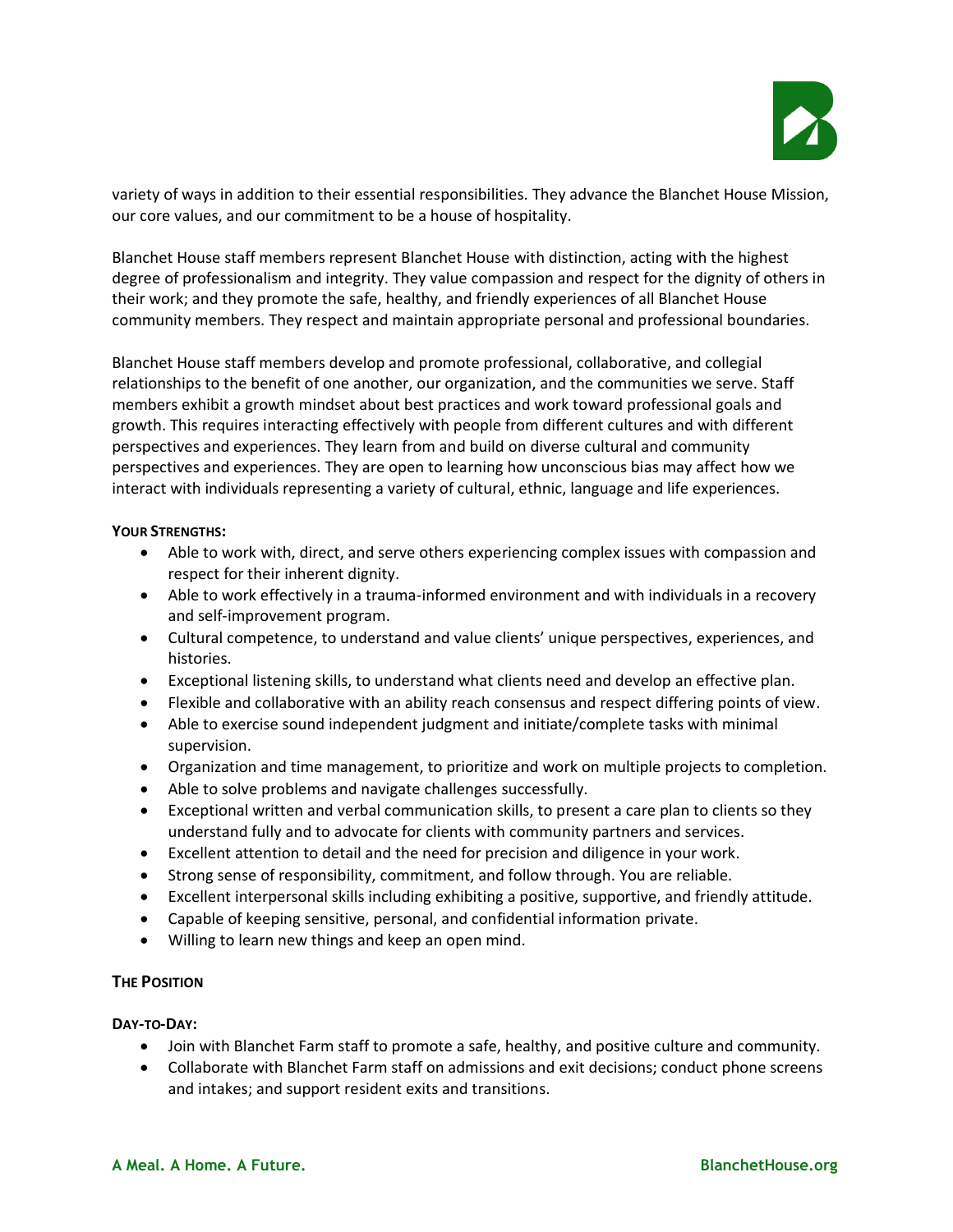

variety of ways in addition to their essential responsibilities. They advance the Blanchet House Mission, our core values, and our commitment to be a house of hospitality.

Blanchet House staff members represent Blanchet House with distinction, acting with the highest degree of professionalism and integrity. They value compassion and respect for the dignity of others in their work; and they promote the safe, healthy, and friendly experiences of all Blanchet House community members. They respect and maintain appropriate personal and professional boundaries.

Blanchet House staff members develop and promote professional, collaborative, and collegial relationships to the benefit of one another, our organization, and the communities we serve. Staff members exhibit a growth mindset about best practices and work toward professional goals and growth. This requires interacting effectively with people from different cultures and with different perspectives and experiences. They learn from and build on diverse cultural and community perspectives and experiences. They are open to learning how unconscious bias may affect how we interact with individuals representing a variety of cultural, ethnic, language and life experiences.

## **YOUR STRENGTHS:**

- Able to work with, direct, and serve others experiencing complex issues with compassion and respect for their inherent dignity.
- Able to work effectively in a trauma-informed environment and with individuals in a recovery and self-improvement program.
- Cultural competence, to understand and value clients' unique perspectives, experiences, and histories.
- Exceptional listening skills, to understand what clients need and develop an effective plan.
- Flexible and collaborative with an ability reach consensus and respect differing points of view.
- Able to exercise sound independent judgment and initiate/complete tasks with minimal supervision.
- Organization and time management, to prioritize and work on multiple projects to completion.
- Able to solve problems and navigate challenges successfully.
- Exceptional written and verbal communication skills, to present a care plan to clients so they understand fully and to advocate for clients with community partners and services.
- Excellent attention to detail and the need for precision and diligence in your work.
- Strong sense of responsibility, commitment, and follow through. You are reliable.
- Excellent interpersonal skills including exhibiting a positive, supportive, and friendly attitude.
- Capable of keeping sensitive, personal, and confidential information private.
- Willing to learn new things and keep an open mind.

# **THE POSITION**

## **DAY-TO-DAY:**

- Join with Blanchet Farm staff to promote a safe, healthy, and positive culture and community.
- Collaborate with Blanchet Farm staff on admissions and exit decisions; conduct phone screens and intakes; and support resident exits and transitions.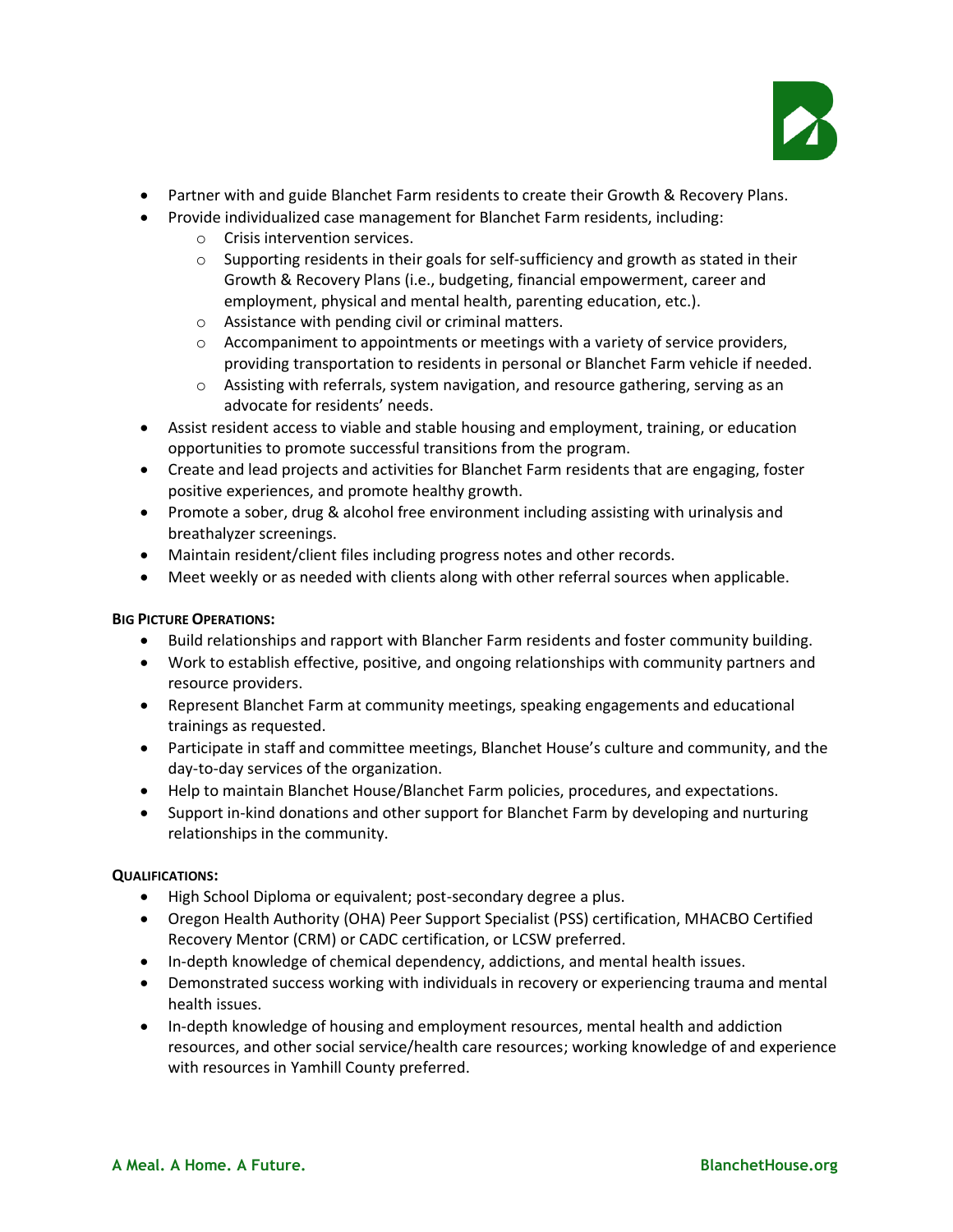

- Partner with and guide Blanchet Farm residents to create their Growth & Recovery Plans.
- Provide individualized case management for Blanchet Farm residents, including:
	- o Crisis intervention services.
	- $\circ$  Supporting residents in their goals for self-sufficiency and growth as stated in their Growth & Recovery Plans (i.e., budgeting, financial empowerment, career and employment, physical and mental health, parenting education, etc.).
	- o Assistance with pending civil or criminal matters.
	- $\circ$  Accompaniment to appointments or meetings with a variety of service providers, providing transportation to residents in personal or Blanchet Farm vehicle if needed.
	- $\circ$  Assisting with referrals, system navigation, and resource gathering, serving as an advocate for residents' needs.
- Assist resident access to viable and stable housing and employment, training, or education opportunities to promote successful transitions from the program.
- Create and lead projects and activities for Blanchet Farm residents that are engaging, foster positive experiences, and promote healthy growth.
- Promote a sober, drug & alcohol free environment including assisting with urinalysis and breathalyzer screenings.
- Maintain resident/client files including progress notes and other records.
- Meet weekly or as needed with clients along with other referral sources when applicable.

## **BIG PICTURE OPERATIONS:**

- Build relationships and rapport with Blancher Farm residents and foster community building.
- Work to establish effective, positive, and ongoing relationships with community partners and resource providers.
- Represent Blanchet Farm at community meetings, speaking engagements and educational trainings as requested.
- Participate in staff and committee meetings, Blanchet House's culture and community, and the day-to-day services of the organization.
- Help to maintain Blanchet House/Blanchet Farm policies, procedures, and expectations.
- Support in-kind donations and other support for Blanchet Farm by developing and nurturing relationships in the community.

#### **QUALIFICATIONS:**

- High School Diploma or equivalent; post-secondary degree a plus.
- Oregon Health Authority (OHA) Peer Support Specialist (PSS) certification, MHACBO Certified Recovery Mentor (CRM) or CADC certification, or LCSW preferred.
- In-depth knowledge of chemical dependency, addictions, and mental health issues.
- Demonstrated success working with individuals in recovery or experiencing trauma and mental health issues.
- In-depth knowledge of housing and employment resources, mental health and addiction resources, and other social service/health care resources; working knowledge of and experience with resources in Yamhill County preferred.